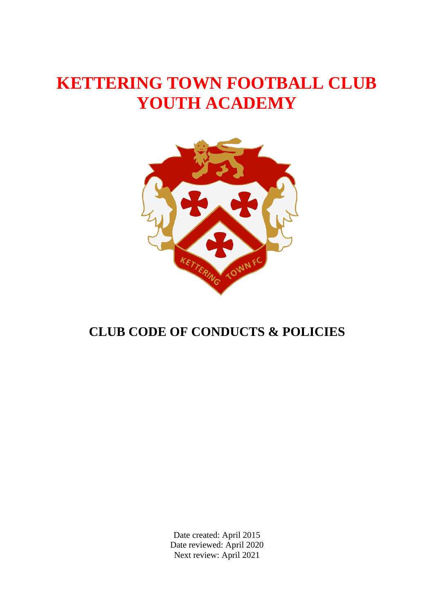# **KETTERING TOWN FOOTBALL CLUB YOUTH ACADEMY**



# **CLUB CODE OF CONDUCTS & POLICIES**

Date created: April 2015 Date reviewed: April 2020 Next review: April 2021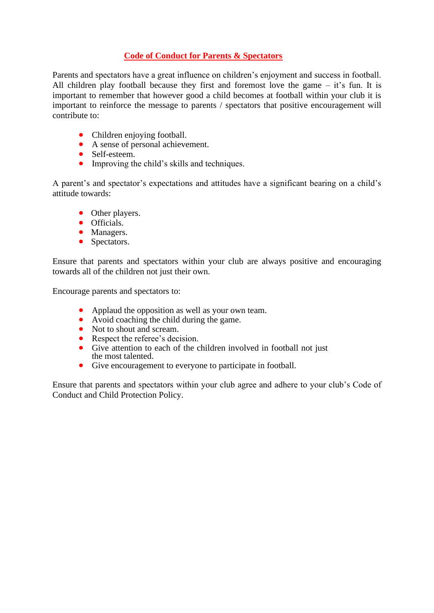# **Code of Conduct for Parents & Spectators**

Parents and spectators have a great influence on children's enjoyment and success in football. All children play football because they first and foremost love the game – it's fun. It is important to remember that however good a child becomes at football within your club it is important to reinforce the message to parents / spectators that positive encouragement will contribute to:

- Children enjoying football.
- A sense of personal achievement.
- Self-esteem.
- Improving the child's skills and techniques.

A parent's and spectator's expectations and attitudes have a significant bearing on a child's attitude towards:

- Other players.
- Officials.
- Managers.
- Spectators.

Ensure that parents and spectators within your club are always positive and encouraging towards all of the children not just their own.

Encourage parents and spectators to:

- Applaud the opposition as well as your own team.
- Avoid coaching the child during the game.
- Not to shout and scream.
- Respect the referee's decision.
- Give attention to each of the children involved in football not just the most talented.
- Give encouragement to everyone to participate in football.

Ensure that parents and spectators within your club agree and adhere to your club's Code of Conduct and Child Protection Policy.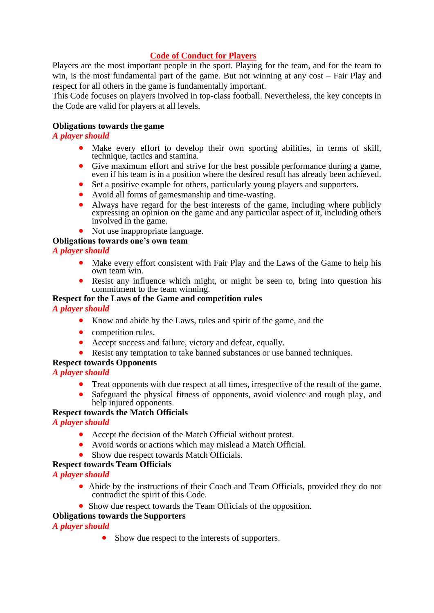# **Code of Conduct for Players**

Players are the most important people in the sport. Playing for the team, and for the team to win, is the most fundamental part of the game. But not winning at any cost – Fair Play and respect for all others in the game is fundamentally important.

This Code focuses on players involved in top-class football. Nevertheless, the key concepts in the Code are valid for players at all levels.

#### **Obligations towards the game**

#### *A player should*

- Make every effort to develop their own sporting abilities, in terms of skill, technique, tactics and stamina.
- Give maximum effort and strive for the best possible performance during a game, even if his team is in a position where the desired result has already been achieved.
- Set a positive example for others, particularly young players and supporters.
- Avoid all forms of gamesmanship and time-wasting.
- Always have regard for the best interests of the game, including where publicly expressing an opinion on the game and any particular aspect of it, including others involved in the game.
- Not use inappropriate language.

# **Obligations towards one's own team**

#### *A player should*

- Make every effort consistent with Fair Play and the Laws of the Game to help his own team win.
- Resist any influence which might, or might be seen to, bring into question his commitment to the team winning.

#### **Respect for the Laws of the Game and competition rules**

#### *A player should*

- Know and abide by the Laws, rules and spirit of the game, and the
- competition rules.
- Accept success and failure, victory and defeat, equally.
- Resist any temptation to take banned substances or use banned techniques.

#### **Respect towards Opponents**

#### *A player should*

- Treat opponents with due respect at all times, irrespective of the result of the game.
- Safeguard the physical fitness of opponents, avoid violence and rough play, and help injured opponents.

#### **Respect towards the Match Officials**

#### *A player should*

- Accept the decision of the Match Official without protest.
- Avoid words or actions which may mislead a Match Official.
- Show due respect towards Match Officials.

#### **Respect towards Team Officials**

#### *A player should*

- Abide by the instructions of their Coach and Team Officials, provided they do not contradict the spirit of this Code.
- Show due respect towards the Team Officials of the opposition.

#### **Obligations towards the Supporters**

#### *A player should*

Show due respect to the interests of supporters.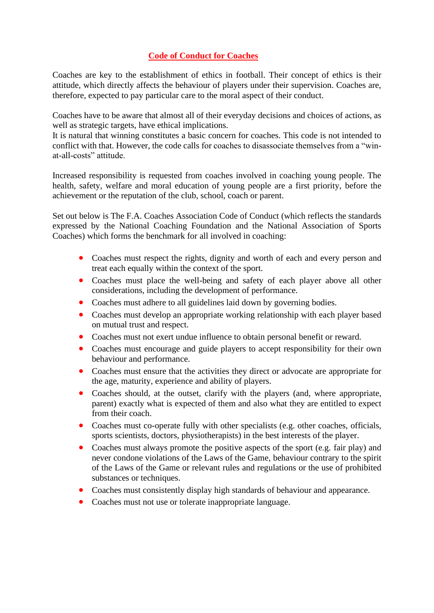# **Code of Conduct for Coaches**

Coaches are key to the establishment of ethics in football. Their concept of ethics is their attitude, which directly affects the behaviour of players under their supervision. Coaches are, therefore, expected to pay particular care to the moral aspect of their conduct.

Coaches have to be aware that almost all of their everyday decisions and choices of actions, as well as strategic targets, have ethical implications.

It is natural that winning constitutes a basic concern for coaches. This code is not intended to conflict with that. However, the code calls for coaches to disassociate themselves from a "winat-all-costs" attitude.

Increased responsibility is requested from coaches involved in coaching young people. The health, safety, welfare and moral education of young people are a first priority, before the achievement or the reputation of the club, school, coach or parent.

Set out below is The F.A. Coaches Association Code of Conduct (which reflects the standards expressed by the National Coaching Foundation and the National Association of Sports Coaches) which forms the benchmark for all involved in coaching:

- Coaches must respect the rights, dignity and worth of each and every person and treat each equally within the context of the sport.
- Coaches must place the well-being and safety of each player above all other considerations, including the development of performance.
- Coaches must adhere to all guidelines laid down by governing bodies.
- Coaches must develop an appropriate working relationship with each player based on mutual trust and respect.
- Coaches must not exert undue influence to obtain personal benefit or reward.
- Coaches must encourage and guide players to accept responsibility for their own behaviour and performance.
- Coaches must ensure that the activities they direct or advocate are appropriate for the age, maturity, experience and ability of players.
- Coaches should, at the outset, clarify with the players (and, where appropriate, parent) exactly what is expected of them and also what they are entitled to expect from their coach.
- Coaches must co-operate fully with other specialists (e.g. other coaches, officials, sports scientists, doctors, physiotherapists) in the best interests of the player.
- Coaches must always promote the positive aspects of the sport (e.g. fair play) and never condone violations of the Laws of the Game, behaviour contrary to the spirit of the Laws of the Game or relevant rules and regulations or the use of prohibited substances or techniques.
- Coaches must consistently display high standards of behaviour and appearance.
- Coaches must not use or tolerate inappropriate language.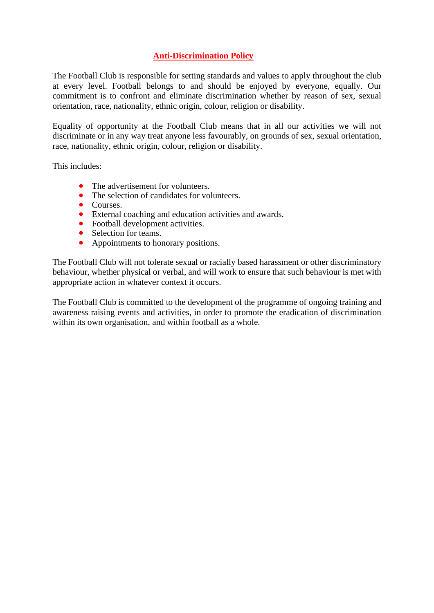# **Anti-Discrimination Policy**

The Football Club is responsible for setting standards and values to apply throughout the club at every level. Football belongs to and should be enjoyed by everyone, equally. Our commitment is to confront and eliminate discrimination whether by reason of sex, sexual orientation, race, nationality, ethnic origin, colour, religion or disability.

Equality of opportunity at the Football Club means that in all our activities we will not discriminate or in any way treat anyone less favourably, on grounds of sex, sexual orientation, race, nationality, ethnic origin, colour, religion or disability.

This includes:

- The advertisement for volunteers.
- The selection of candidates for volunteers.
- Courses.
- External coaching and education activities and awards.
- Football development activities.
- Selection for teams.
- Appointments to honorary positions.

The Football Club will not tolerate sexual or racially based harassment or other discriminatory behaviour, whether physical or verbal, and will work to ensure that such behaviour is met with appropriate action in whatever context it occurs.

The Football Club is committed to the development of the programme of ongoing training and awareness raising events and activities, in order to promote the eradication of discrimination within its own organisation, and within football as a whole.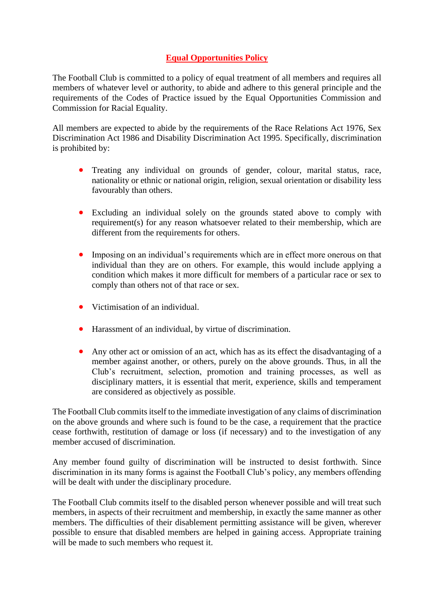# **Equal Opportunities Policy**

The Football Club is committed to a policy of equal treatment of all members and requires all members of whatever level or authority, to abide and adhere to this general principle and the requirements of the Codes of Practice issued by the Equal Opportunities Commission and Commission for Racial Equality.

All members are expected to abide by the requirements of the Race Relations Act 1976, Sex Discrimination Act 1986 and Disability Discrimination Act 1995. Specifically, discrimination is prohibited by:

- Treating any individual on grounds of gender, colour, marital status, race, nationality or ethnic or national origin, religion, sexual orientation or disability less favourably than others.
- Excluding an individual solely on the grounds stated above to comply with requirement(s) for any reason whatsoever related to their membership, which are different from the requirements for others.
- Imposing on an individual's requirements which are in effect more onerous on that individual than they are on others. For example, this would include applying a condition which makes it more difficult for members of a particular race or sex to comply than others not of that race or sex.
- Victimisation of an individual.
- Harassment of an individual, by virtue of discrimination.
- Any other act or omission of an act, which has as its effect the disadvantaging of a member against another, or others, purely on the above grounds. Thus, in all the Club's recruitment, selection, promotion and training processes, as well as disciplinary matters, it is essential that merit, experience, skills and temperament are considered as objectively as possible.

The Football Club commits itself to the immediate investigation of any claims of discrimination on the above grounds and where such is found to be the case, a requirement that the practice cease forthwith, restitution of damage or loss (if necessary) and to the investigation of any member accused of discrimination.

Any member found guilty of discrimination will be instructed to desist forthwith. Since discrimination in its many forms is against the Football Club's policy, any members offending will be dealt with under the disciplinary procedure.

The Football Club commits itself to the disabled person whenever possible and will treat such members, in aspects of their recruitment and membership, in exactly the same manner as other members. The difficulties of their disablement permitting assistance will be given, wherever possible to ensure that disabled members are helped in gaining access. Appropriate training will be made to such members who request it.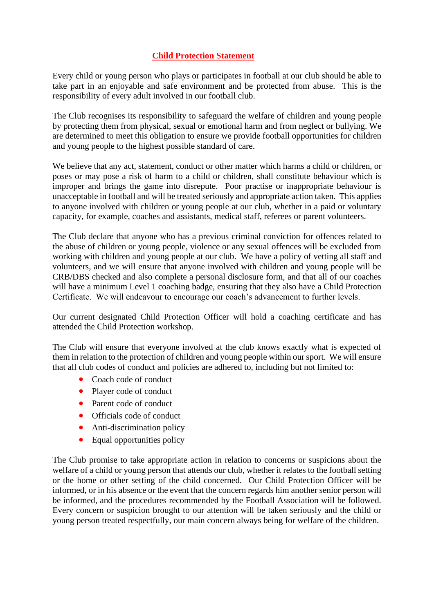# **Child Protection Statement**

Every child or young person who plays or participates in football at our club should be able to take part in an enjoyable and safe environment and be protected from abuse. This is the responsibility of every adult involved in our football club.

The Club recognises its responsibility to safeguard the welfare of children and young people by protecting them from physical, sexual or emotional harm and from neglect or bullying. We are determined to meet this obligation to ensure we provide football opportunities for children and young people to the highest possible standard of care.

We believe that any act, statement, conduct or other matter which harms a child or children, or poses or may pose a risk of harm to a child or children, shall constitute behaviour which is improper and brings the game into disrepute. Poor practise or inappropriate behaviour is unacceptable in football and will be treated seriously and appropriate action taken. This applies to anyone involved with children or young people at our club, whether in a paid or voluntary capacity, for example, coaches and assistants, medical staff, referees or parent volunteers.

The Club declare that anyone who has a previous criminal conviction for offences related to the abuse of children or young people, violence or any sexual offences will be excluded from working with children and young people at our club. We have a policy of vetting all staff and volunteers, and we will ensure that anyone involved with children and young people will be CRB/DBS checked and also complete a personal disclosure form, and that all of our coaches will have a minimum Level 1 coaching badge, ensuring that they also have a Child Protection Certificate. We will endeavour to encourage our coach's advancement to further levels.

Our current designated Child Protection Officer will hold a coaching certificate and has attended the Child Protection workshop.

The Club will ensure that everyone involved at the club knows exactly what is expected of them in relation to the protection of children and young people within our sport. We will ensure that all club codes of conduct and policies are adhered to, including but not limited to:

- Coach code of conduct
- Player code of conduct
- Parent code of conduct
- Officials code of conduct
- Anti-discrimination policy
- Equal opportunities policy

The Club promise to take appropriate action in relation to concerns or suspicions about the welfare of a child or young person that attends our club, whether it relates to the football setting or the home or other setting of the child concerned. Our Child Protection Officer will be informed, or in his absence or the event that the concern regards him another senior person will be informed, and the procedures recommended by the Football Association will be followed. Every concern or suspicion brought to our attention will be taken seriously and the child or young person treated respectfully, our main concern always being for welfare of the children.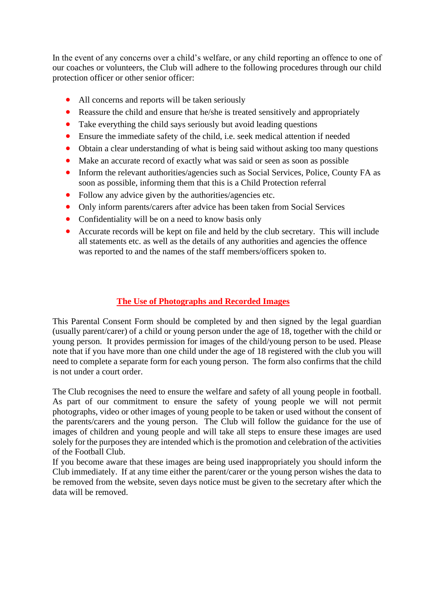In the event of any concerns over a child's welfare, or any child reporting an offence to one of our coaches or volunteers, the Club will adhere to the following procedures through our child protection officer or other senior officer:

- All concerns and reports will be taken seriously
- Reassure the child and ensure that he/she is treated sensitively and appropriately
- Take everything the child says seriously but avoid leading questions
- Ensure the immediate safety of the child, i.e. seek medical attention if needed
- Obtain a clear understanding of what is being said without asking too many questions
- Make an accurate record of exactly what was said or seen as soon as possible
- Inform the relevant authorities/agencies such as Social Services, Police, County FA as soon as possible, informing them that this is a Child Protection referral
- Follow any advice given by the authorities/agencies etc.
- Only inform parents/carers after advice has been taken from Social Services
- Confidentiality will be on a need to know basis only
- Accurate records will be kept on file and held by the club secretary. This will include all statements etc. as well as the details of any authorities and agencies the offence was reported to and the names of the staff members/officers spoken to.

# **The Use of Photographs and Recorded Images**

This Parental Consent Form should be completed by and then signed by the legal guardian (usually parent/carer) of a child or young person under the age of 18, together with the child or young person. It provides permission for images of the child/young person to be used. Please note that if you have more than one child under the age of 18 registered with the club you will need to complete a separate form for each young person. The form also confirms that the child is not under a court order.

The Club recognises the need to ensure the welfare and safety of all young people in football. As part of our commitment to ensure the safety of young people we will not permit photographs, video or other images of young people to be taken or used without the consent of the parents/carers and the young person. The Club will follow the guidance for the use of images of children and young people and will take all steps to ensure these images are used solely for the purposes they are intended which is the promotion and celebration of the activities of the Football Club.

If you become aware that these images are being used inappropriately you should inform the Club immediately. If at any time either the parent/carer or the young person wishes the data to be removed from the website, seven days notice must be given to the secretary after which the data will be removed.